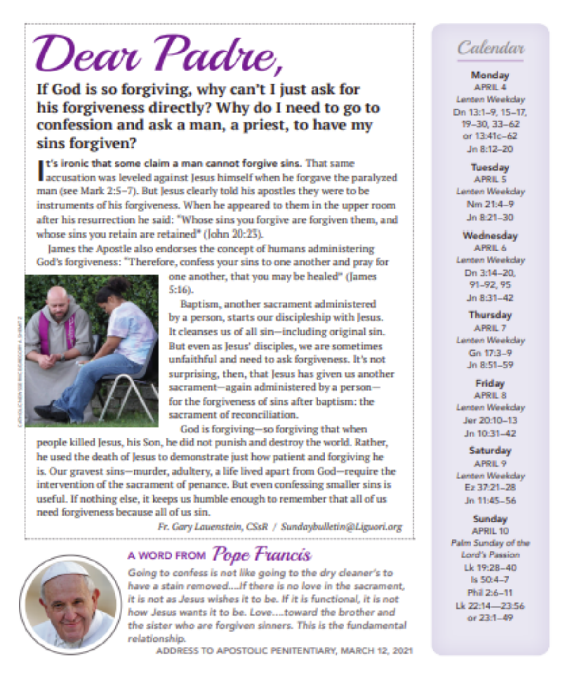# Dear Padre,

If God is so forgiving, why can't I just ask for his forgiveness directly? Why do I need to go to confession and ask a man, a priest, to have my sins forgiven?

It's ironic that some claim a man cannot forgive sins. That same accusation was leveled against Jesus himself when he forgave the paralyzed man (see Mark 2:5-7). But Jesus clearly told his apostles they were to be instruments of his forgiveness. When he appeared to them in the upper room after his resurrection he said: "Whose sins you forgive are forgiven them, and whose sins you retain are retained" (John 20:23).

James the Apostle also endorses the concept of humans administering God's forgiveness: "Therefore, confess your sins to one another and pray for



one another, that you may be healed" (James 5:16).

Baptism, another sacrament administered by a person, starts our discipleship with Jesus. It cleanses us of all sin-including original sin. But even as Jesus' disciples, we are sometimes unfaithful and need to ask forgiveness. It's not surprising, then, that Jesus has given us another sacrament-again administered by a personfor the forgiveness of sins after baptism: the sacrament of reconciliation.

God is forgiving-so forgiving that when people killed Jesus, his Son, he did not punish and destroy the world. Rather, he used the death of Jesus to demonstrate just how patient and forgiving he is. Our gravest sins-murder, adultery, a life lived apart from God-require the intervention of the sacrament of penance. But even confessing smaller sins is useful. If nothing else, it keeps us humble enough to remember that all of us need forgiveness because all of us sin.

Fr. Gary Lauenstein, CSsR / Sundaybulletin@Liguori.org



# A WORD FROM Pope Francis

Going to confess is not like going to the dry cleaner's to have a stain removed....If there is no love in the sacrament, it is not as Jesus wishes it to be. If it is functional, it is not how Jesus wants it to be. Love....toward the brother and the sister who are forgiven sinners. This is the fundamental relationship.

ADDRESS TO APOSTOLIC PENITENTIARY, MARCH 12, 2021

# Calendar

#### **Monday**

APRIL 4 Lenten Weekday Dn 13:1-9, 15-17, 19-30, 33-62 or 13:41c-62 Jn 8:12-20

#### **Tuesday**

APRIL 5 Lenten Weekday Nm 21:4-9 Jn 8:21-30

#### Wednesday APRIL 6 Lenten Weekday Dn 3:14-20. 91-92.95 Jn 8:31-42

**Thursday** APRIL 7 Lenten Weekday Gn 173-9 Jn 8:51-59

#### Friday APRIL 8 Lenten Weekday Jer 20:10-13 Jn 10:31-42

#### **Saturday** APRIL 9 Lenten Weekday Ez 37:21-28 Jn 11:45-56

**Sunday** APRIL 10 Palm Sunday of the Lord's Passion Lk 19:28-40 ls 50:4-7 Phil 2:6-11 Lk 22:14-23:56 or 23:1-49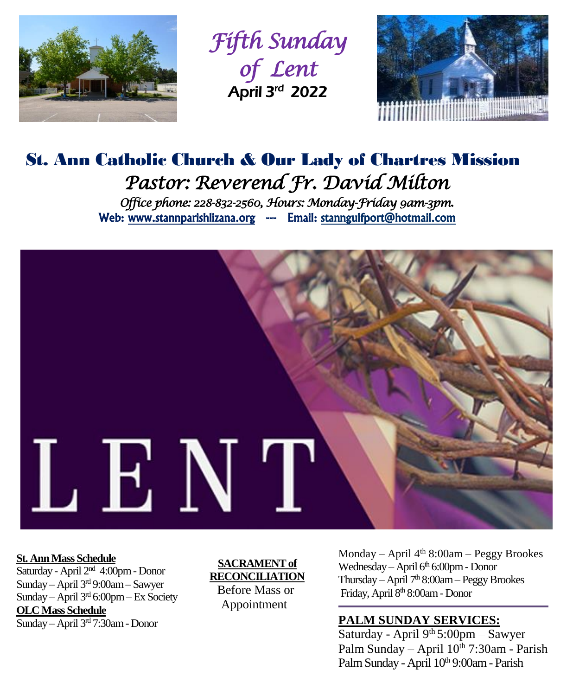

*Fifth Sunday of Lent*  April 3rd 2022



# St. Ann Catholic Church & Our Lady of Chartres Mission *Pastor: Reverend Fr. David Milton Office phone: 228-832-2560, Hours: Monday-Friday 9am-3pm.*  Web: www.stannparishlizana.org --- Email: stanngulfport@hotmail.com



#### **St. Ann Mass Schedule**

Saturday - April 2nd 4:00pm - Donor Sunday – April 3rd 9:00am – Sawyer Sunday – April 3rd 6:00pm – Ex Society **OLC Mass Schedule** Sunday – April 3rd 7:30am - Donor

#### **SACRAMENT of RECONCILIATION**

 Before Mass or Appointment

Monday – April  $4<sup>th</sup> 8:00am$  – Peggy Brookes Wednesday – April  $6<sup>th</sup> 6:00$ pm - Donor Thursday – April  $7<sup>th</sup> 8:00am$  – Peggy Brookes Friday, April 8<sup>th</sup> 8:00am - Donor

## **PALM SUNDAY SERVICES:**

Saturday - April  $9<sup>th</sup> 5:00 \text{pm} -$  Sawyer Palm Sunday – April  $10^{th}$  7:30am - Parish Palm Sunday - April 10th 9:00am - Parish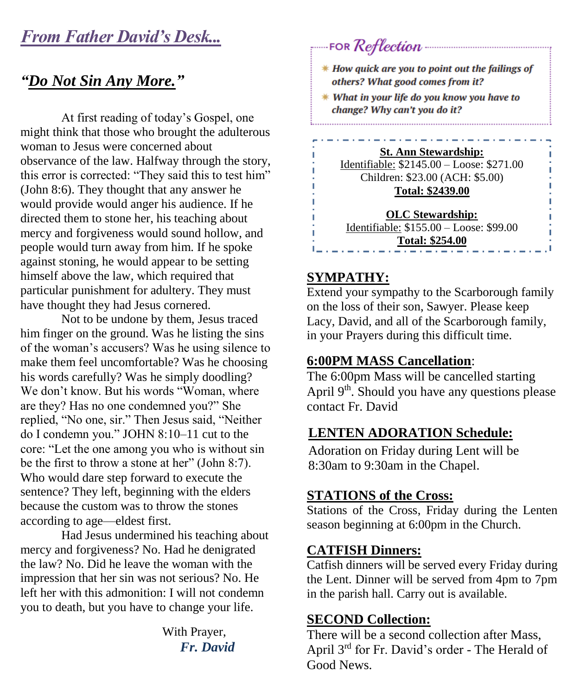# *From Father David's Desk...*

## *"Do Not Sin Any More."*

At first reading of today's Gospel, one might think that those who brought the adulterous woman to Jesus were concerned about observance of the law. Halfway through the story, this error is corrected: "They said this to test him" (John 8:6). They thought that any answer he would provide would anger his audience. If he directed them to stone her, his teaching about mercy and forgiveness would sound hollow, and people would turn away from him. If he spoke against stoning, he would appear to be setting himself above the law, which required that particular punishment for adultery. They must have thought they had Jesus cornered.

Not to be undone by them, Jesus traced him finger on the ground. Was he listing the sins of the woman's accusers? Was he using silence to make them feel uncomfortable? Was he choosing his words carefully? Was he simply doodling? We don't know. But his words "Woman, where are they? Has no one condemned you?" She replied, "No one, sir." Then Jesus said, "Neither do I condemn you." JOHN 8:10–11 cut to the core: "Let the one among you who is without sin be the first to throw a stone at her" (John 8:7). Who would dare step forward to execute the sentence? They left, beginning with the elders because the custom was to throw the stones according to age—eldest first.

Had Jesus undermined his teaching about mercy and forgiveness? No. Had he denigrated the law? No. Did he leave the woman with the impression that her sin was not serious? No. He left her with this admonition: I will not condemn you to death, but you have to change your life.

> With Prayer,  *Fr. David*

# \* How quick are you to point out the failings of others? What good comes from it?  $*$  What in your life do you know you have to change? Why can't you do it? **St. Ann Stewardship:** Identifiable: \$2145.00 – Loose: \$271.00 Children: \$23.00 (ACH: \$5.00) **Total: \$2439.00 OLC Stewardship:** Identifiable: \$155.00 – Loose: \$99.00 **Total: \$254.00**

#### **SYMPATHY:**

Extend your sympathy to the Scarborough family on the loss of their son, Sawyer. Please keep Lacy, David, and all of the Scarborough family, in your Prayers during this difficult time.

## **6:00PM MASS Cancellation**:

The 6:00pm Mass will be cancelled starting April  $9<sup>th</sup>$ . Should you have any questions please contact Fr. David

## **LENTEN ADORATION Schedule:**

Adoration on Friday during Lent will be 8:30am to 9:30am in the Chapel.

## **STATIONS of the Cross:**

Stations of the Cross, Friday during the Lenten season beginning at 6:00pm in the Church.

#### **CATFISH Dinners:**

Catfish dinners will be served every Friday during the Lent. Dinner will be served from 4pm to 7pm in the parish hall. Carry out is available.

## **SECOND Collection:**

There will be a second collection after Mass, April 3rd for Fr. David's order - The Herald of Good News.